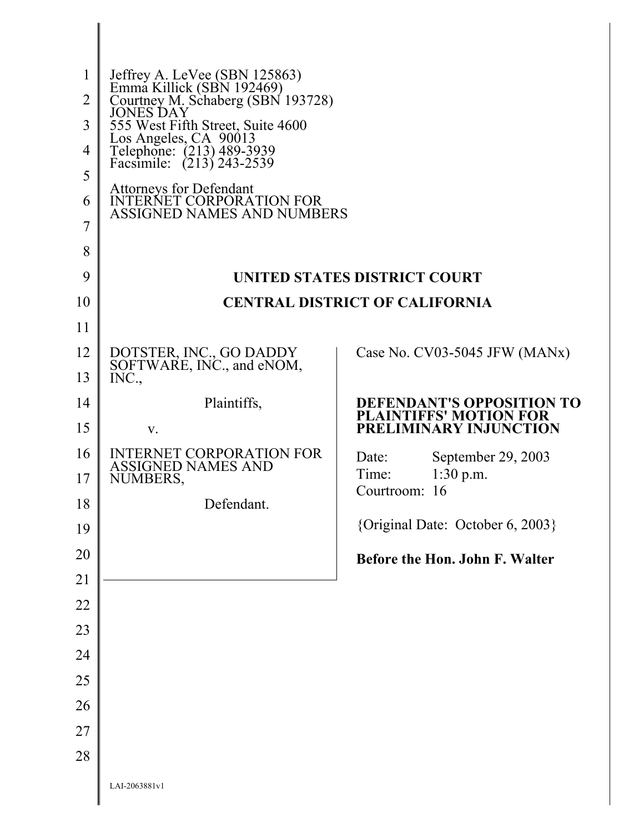| 1              | Jeffrey A. LeVee (SBN 125863)<br>Emma Killick (SBN 192469)                      |                                                                   |  |  |  |
|----------------|---------------------------------------------------------------------------------|-------------------------------------------------------------------|--|--|--|
| $\overline{2}$ | Courtney M. Schaberg (SBN 193728)<br><b>JONES DAY</b>                           |                                                                   |  |  |  |
| 3              | 555 West Fifth Street, Suite 4600                                               |                                                                   |  |  |  |
| 4              | Los Angeles, CA 90013<br>Telephone: (213) 489-3939<br>Facsimile: (213) 243-2539 |                                                                   |  |  |  |
| 5              | Attorneys for Defendant<br>INTERNET CORPORATION FOR                             |                                                                   |  |  |  |
| 6              | <b>ASSIGNED NAMES AND NUMBERS</b>                                               |                                                                   |  |  |  |
| 7              |                                                                                 |                                                                   |  |  |  |
| 8<br>9         |                                                                                 |                                                                   |  |  |  |
| 10             | <b>UNITED STATES DISTRICT COURT</b><br><b>CENTRAL DISTRICT OF CALIFORNIA</b>    |                                                                   |  |  |  |
| 11             |                                                                                 |                                                                   |  |  |  |
| 12             | DOTSTER, INC., GO DADDY                                                         | Case No. $CV03-5045$ JFW (MANx)                                   |  |  |  |
| 13             | SOFTWARE, INC., and eNOM,<br>INC.,                                              |                                                                   |  |  |  |
| 14             | Plaintiffs,                                                                     | <b>DEFENDANT'S OPPOSITION TO</b><br><b>PLAINTIFFS' MOTION FOR</b> |  |  |  |
| 15             | V.                                                                              | PRELIMINARY INJUNCTION                                            |  |  |  |
| 16             | <b>INTERNET CORPORATION FOR</b><br><b>ASSIGNED NAMES AND</b>                    | Date:<br>September 29, 2003                                       |  |  |  |
| 17             | NUMBERS,                                                                        | Time:<br>$1:30$ p.m.<br>Courtroom: 16                             |  |  |  |
| 18             | Defendant.                                                                      | {Original Date: October 6, 2003}                                  |  |  |  |
| 19             |                                                                                 |                                                                   |  |  |  |
| 20             |                                                                                 | Before the Hon. John F. Walter                                    |  |  |  |
| 21<br>22       |                                                                                 |                                                                   |  |  |  |
| 23             |                                                                                 |                                                                   |  |  |  |
| 24             |                                                                                 |                                                                   |  |  |  |
| 25             |                                                                                 |                                                                   |  |  |  |
| 26             |                                                                                 |                                                                   |  |  |  |
| 27             |                                                                                 |                                                                   |  |  |  |
| 28             |                                                                                 |                                                                   |  |  |  |
|                | LAI-2063881v1                                                                   |                                                                   |  |  |  |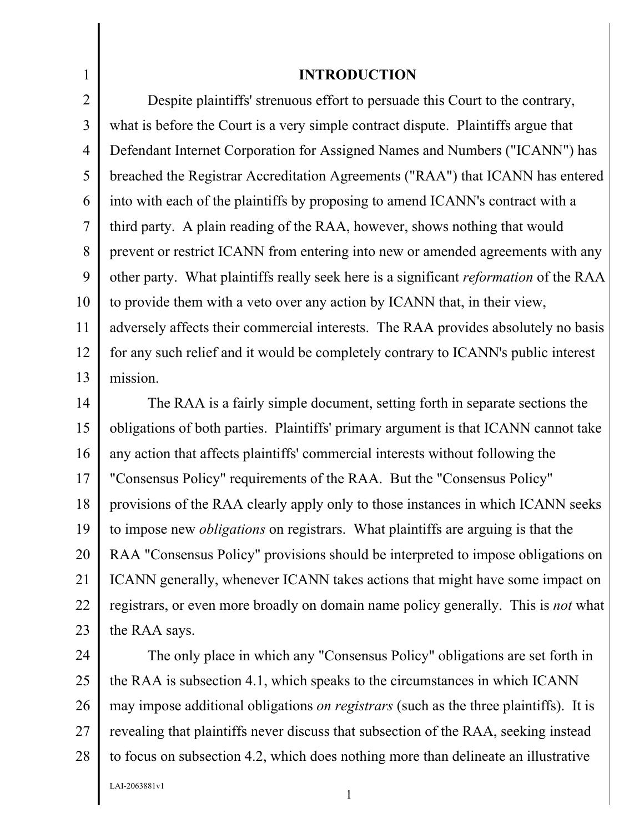#### 1 2 3 4 5 6 7 8 9 10 11 12 13 **INTRODUCTION**  Despite plaintiffs' strenuous effort to persuade this Court to the contrary, what is before the Court is a very simple contract dispute. Plaintiffs argue that Defendant Internet Corporation for Assigned Names and Numbers ("ICANN") has breached the Registrar Accreditation Agreements ("RAA") that ICANN has entered into with each of the plaintiffs by proposing to amend ICANN's contract with a third party. A plain reading of the RAA, however, shows nothing that would prevent or restrict ICANN from entering into new or amended agreements with any other party. What plaintiffs really seek here is a significant *reformation* of the RAA to provide them with a veto over any action by ICANN that, in their view, adversely affects their commercial interests. The RAA provides absolutely no basis for any such relief and it would be completely contrary to ICANN's public interest mission.

14 15 16 17 18 19 20 21 22 23 The RAA is a fairly simple document, setting forth in separate sections the obligations of both parties. Plaintiffs' primary argument is that ICANN cannot take any action that affects plaintiffs' commercial interests without following the "Consensus Policy" requirements of the RAA. But the "Consensus Policy" provisions of the RAA clearly apply only to those instances in which ICANN seeks to impose new *obligations* on registrars. What plaintiffs are arguing is that the RAA "Consensus Policy" provisions should be interpreted to impose obligations on ICANN generally, whenever ICANN takes actions that might have some impact on registrars, or even more broadly on domain name policy generally. This is *not* what the RAA says.

24 25 26 27 28 The only place in which any "Consensus Policy" obligations are set forth in the RAA is subsection 4.1, which speaks to the circumstances in which ICANN may impose additional obligations *on registrars* (such as the three plaintiffs). It is revealing that plaintiffs never discuss that subsection of the RAA, seeking instead to focus on subsection 4.2, which does nothing more than delineate an illustrative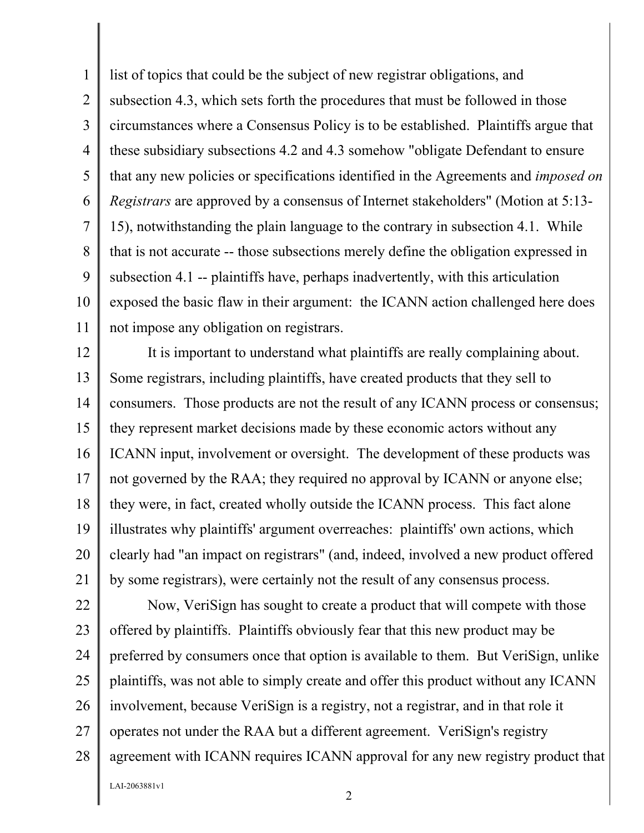1 2 3 4 5 6 7 8 9 10 11 list of topics that could be the subject of new registrar obligations, and subsection 4.3, which sets forth the procedures that must be followed in those circumstances where a Consensus Policy is to be established. Plaintiffs argue that these subsidiary subsections 4.2 and 4.3 somehow "obligate Defendant to ensure that any new policies or specifications identified in the Agreements and *imposed on Registrars* are approved by a consensus of Internet stakeholders" (Motion at 5:13- 15), notwithstanding the plain language to the contrary in subsection 4.1. While that is not accurate -- those subsections merely define the obligation expressed in subsection 4.1 -- plaintiffs have, perhaps inadvertently, with this articulation exposed the basic flaw in their argument: the ICANN action challenged here does not impose any obligation on registrars.

12 13 14 15 16 17 18 19 20 21 It is important to understand what plaintiffs are really complaining about. Some registrars, including plaintiffs, have created products that they sell to consumers. Those products are not the result of any ICANN process or consensus; they represent market decisions made by these economic actors without any ICANN input, involvement or oversight. The development of these products was not governed by the RAA; they required no approval by ICANN or anyone else; they were, in fact, created wholly outside the ICANN process. This fact alone illustrates why plaintiffs' argument overreaches: plaintiffs' own actions, which clearly had "an impact on registrars" (and, indeed, involved a new product offered by some registrars), were certainly not the result of any consensus process.

22 23 24 25 26 27 28 Now, VeriSign has sought to create a product that will compete with those offered by plaintiffs. Plaintiffs obviously fear that this new product may be preferred by consumers once that option is available to them. But VeriSign, unlike plaintiffs, was not able to simply create and offer this product without any ICANN involvement, because VeriSign is a registry, not a registrar, and in that role it operates not under the RAA but a different agreement. VeriSign's registry agreement with ICANN requires ICANN approval for any new registry product that

LAI-2063881v1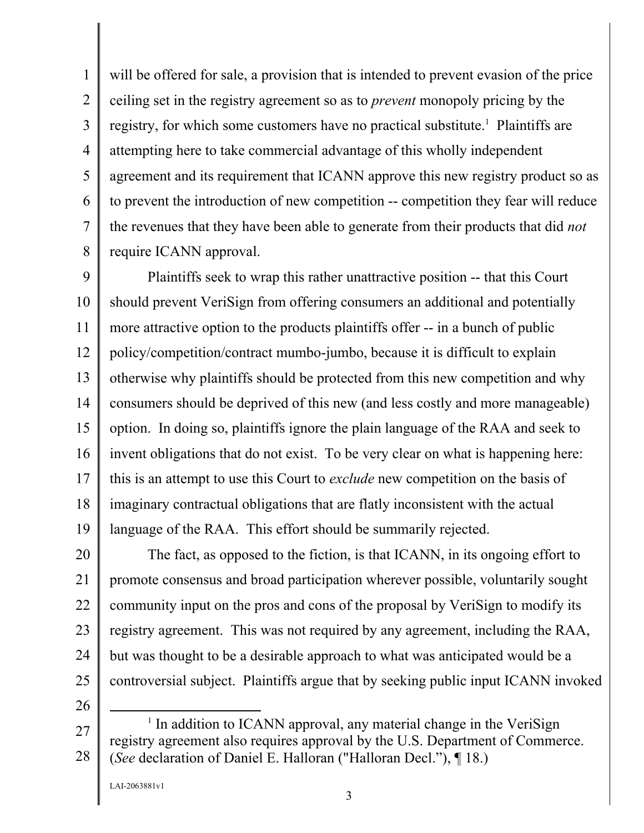1 2 3 4 5 6 7 8 will be offered for sale, a provision that is intended to prevent evasion of the price ceiling set in the registry agreement so as to *prevent* monopoly pricing by the registry, for which some customers have no practical substitute.<sup>1</sup> Plaintiffs are attempting here to take commercial advantage of this wholly independent agreement and its requirement that ICANN approve this new registry product so as to prevent the introduction of new competition -- competition they fear will reduce the revenues that they have been able to generate from their products that did *not* require ICANN approval.

9 10 11 12 13 14 15 16 17 18 19 Plaintiffs seek to wrap this rather unattractive position -- that this Court should prevent VeriSign from offering consumers an additional and potentially more attractive option to the products plaintiffs offer -- in a bunch of public policy/competition/contract mumbo-jumbo, because it is difficult to explain otherwise why plaintiffs should be protected from this new competition and why consumers should be deprived of this new (and less costly and more manageable) option. In doing so, plaintiffs ignore the plain language of the RAA and seek to invent obligations that do not exist. To be very clear on what is happening here: this is an attempt to use this Court to *exclude* new competition on the basis of imaginary contractual obligations that are flatly inconsistent with the actual language of the RAA. This effort should be summarily rejected.

20 21 22 23 24 25 The fact, as opposed to the fiction, is that ICANN, in its ongoing effort to promote consensus and broad participation wherever possible, voluntarily sought community input on the pros and cons of the proposal by VeriSign to modify its registry agreement. This was not required by any agreement, including the RAA, but was thought to be a desirable approach to what was anticipated would be a controversial subject. Plaintiffs argue that by seeking public input ICANN invoked

<sup>27</sup>  28  $\frac{1}{1}$  $<sup>1</sup>$  In addition to ICANN approval, any material change in the VeriSign</sup> registry agreement also requires approval by the U.S. Department of Commerce. (*See* declaration of Daniel E. Halloran ("Halloran Decl."), ¶ 18.)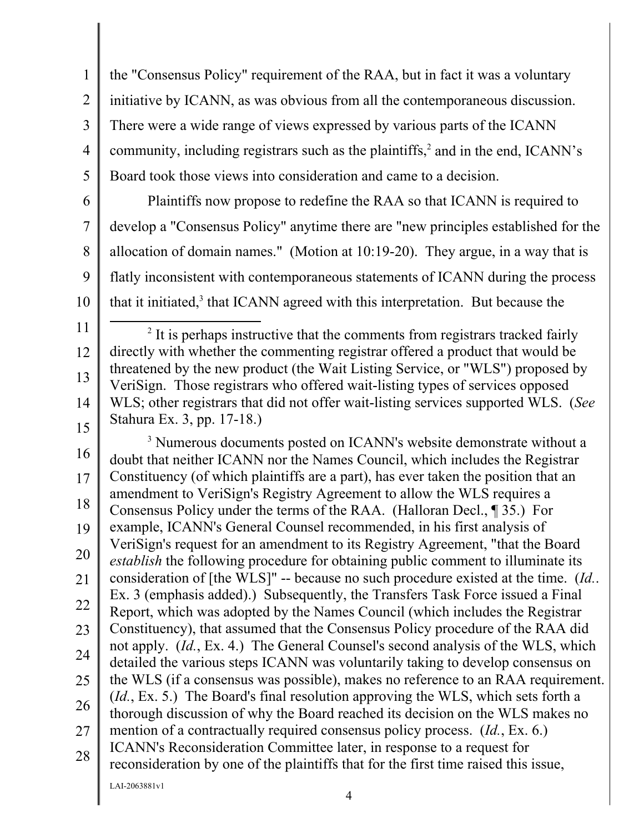1 2 3 4 5 the "Consensus Policy" requirement of the RAA, but in fact it was a voluntary initiative by ICANN, as was obvious from all the contemporaneous discussion. There were a wide range of views expressed by various parts of the ICANN community, including registrars such as the plaintiffs, $2$  and in the end, ICANN's Board took those views into consideration and came to a decision.

6

7

8

9

Plaintiffs now propose to redefine the RAA so that ICANN is required to develop a "Consensus Policy" anytime there are "new principles established for the allocation of domain names." (Motion at 10:19-20). They argue, in a way that is flatly inconsistent with contemporaneous statements of ICANN during the process that it initiated, $3$  that ICANN agreed with this interpretation. But because the

11

10

12 13 14 15 2  $<sup>2</sup>$  It is perhaps instructive that the comments from registrars tracked fairly</sup> directly with whether the commenting registrar offered a product that would be threatened by the new product (the Wait Listing Service, or "WLS") proposed by VeriSign. Those registrars who offered wait-listing types of services opposed WLS; other registrars that did not offer wait-listing services supported WLS. (*See* Stahura Ex. 3, pp. 17-18.)

16 17 18 19 20 21 22 23 24 25 26 27 28 <sup>3</sup> Numerous documents posted on ICANN's website demonstrate without a doubt that neither ICANN nor the Names Council, which includes the Registrar Constituency (of which plaintiffs are a part), has ever taken the position that an amendment to VeriSign's Registry Agreement to allow the WLS requires a Consensus Policy under the terms of the RAA. (Halloran Decl., ¶ 35.) For example, ICANN's General Counsel recommended, in his first analysis of VeriSign's request for an amendment to its Registry Agreement, "that the Board *establish* the following procedure for obtaining public comment to illuminate its consideration of [the WLS]" -- because no such procedure existed at the time. (*Id.*. Ex. 3 (emphasis added).) Subsequently, the Transfers Task Force issued a Final Report, which was adopted by the Names Council (which includes the Registrar Constituency), that assumed that the Consensus Policy procedure of the RAA did not apply. (*Id.*, Ex. 4.) The General Counsel's second analysis of the WLS, which detailed the various steps ICANN was voluntarily taking to develop consensus on the WLS (if a consensus was possible), makes no reference to an RAA requirement. (*Id.*, Ex. 5.) The Board's final resolution approving the WLS, which sets forth a thorough discussion of why the Board reached its decision on the WLS makes no mention of a contractually required consensus policy process. (*Id.*, Ex. 6.) ICANN's Reconsideration Committee later, in response to a request for reconsideration by one of the plaintiffs that for the first time raised this issue,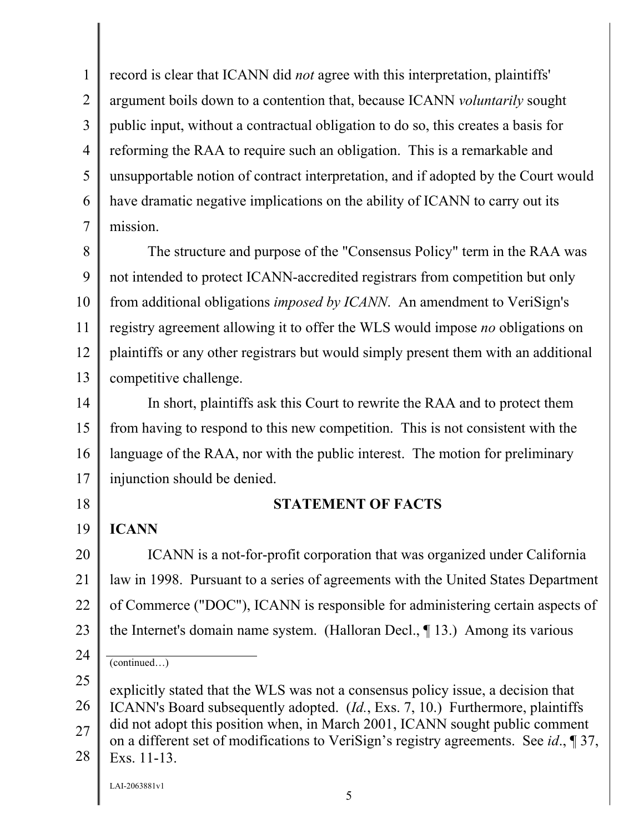1 2 3 4 5 6 7 record is clear that ICANN did *not* agree with this interpretation, plaintiffs' argument boils down to a contention that, because ICANN *voluntarily* sought public input, without a contractual obligation to do so, this creates a basis for reforming the RAA to require such an obligation. This is a remarkable and unsupportable notion of contract interpretation, and if adopted by the Court would have dramatic negative implications on the ability of ICANN to carry out its mission.

8 9 10 11 12 13 The structure and purpose of the "Consensus Policy" term in the RAA was not intended to protect ICANN-accredited registrars from competition but only from additional obligations *imposed by ICANN*. An amendment to VeriSign's registry agreement allowing it to offer the WLS would impose *no* obligations on plaintiffs or any other registrars but would simply present them with an additional competitive challenge.

14 15 16 17 In short, plaintiffs ask this Court to rewrite the RAA and to protect them from having to respond to this new competition. This is not consistent with the language of the RAA, nor with the public interest. The motion for preliminary injunction should be denied.

18 19 **ICANN** 

24

### **STATEMENT OF FACTS**

20 21 22 23 ICANN is a not-for-profit corporation that was organized under California law in 1998. Pursuant to a series of agreements with the United States Department of Commerce ("DOC"), ICANN is responsible for administering certain aspects of the Internet's domain name system. (Halloran Decl., ¶ 13.) Among its various

26 ICANN's Board subsequently adopted. (*Id.*, Exs. 7, 10.) Furthermore, plaintiffs

27 did not adopt this position when, in March 2001, ICANN sought public comment on a different set of modifications to VeriSign's registry agreements. See *id*., ¶ 37,

28 Exs. 11-13.

<sup>(</sup>continued…)

<sup>25</sup>  explicitly stated that the WLS was not a consensus policy issue, a decision that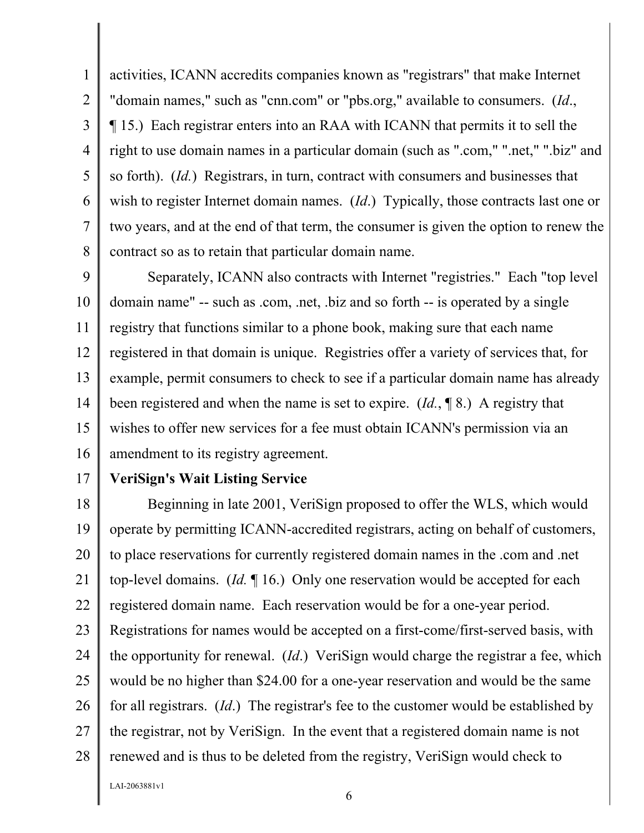1 2 3 4 5 6 7 8 activities, ICANN accredits companies known as "registrars" that make Internet "domain names," such as "cnn.com" or "pbs.org," available to consumers. (*Id*., ¶ 15.) Each registrar enters into an RAA with ICANN that permits it to sell the right to use domain names in a particular domain (such as ".com," ".net," ".biz" and so forth). (*Id.*) Registrars, in turn, contract with consumers and businesses that wish to register Internet domain names. (*Id*.) Typically, those contracts last one or two years, and at the end of that term, the consumer is given the option to renew the contract so as to retain that particular domain name.

9 10 11 12 13 14 15 16 Separately, ICANN also contracts with Internet "registries." Each "top level domain name" -- such as .com, .net, .biz and so forth -- is operated by a single registry that functions similar to a phone book, making sure that each name registered in that domain is unique. Registries offer a variety of services that, for example, permit consumers to check to see if a particular domain name has already been registered and when the name is set to expire. (*Id.*, ¶ 8.) A registry that wishes to offer new services for a fee must obtain ICANN's permission via an amendment to its registry agreement.

17

### **VeriSign's Wait Listing Service**

18 19 20 21 22 23 24 25 26 27 28 Beginning in late 2001, VeriSign proposed to offer the WLS, which would operate by permitting ICANN-accredited registrars, acting on behalf of customers, to place reservations for currently registered domain names in the .com and .net top-level domains. (*Id.* ¶ 16.) Only one reservation would be accepted for each registered domain name. Each reservation would be for a one-year period. Registrations for names would be accepted on a first-come/first-served basis, with the opportunity for renewal. (*Id*.) VeriSign would charge the registrar a fee, which would be no higher than \$24.00 for a one-year reservation and would be the same for all registrars. (*Id*.) The registrar's fee to the customer would be established by the registrar, not by VeriSign. In the event that a registered domain name is not renewed and is thus to be deleted from the registry, VeriSign would check to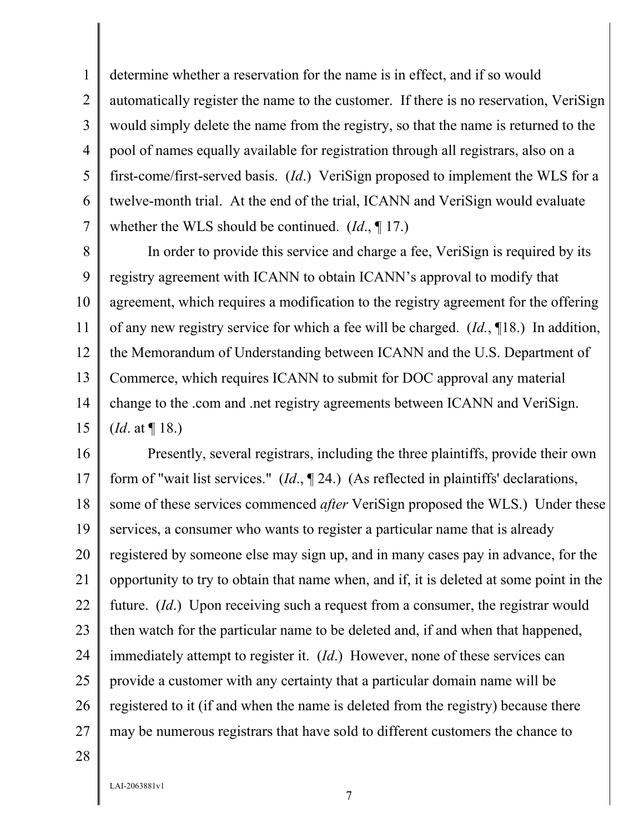1 2 3 4 5 6 7 determine whether a reservation for the name is in effect, and if so would automatically register the name to the customer. If there is no reservation, VeriSign would simply delete the name from the registry, so that the name is returned to the pool of names equally available for registration through all registrars, also on a first-come/first-served basis. (*Id*.) VeriSign proposed to implement the WLS for a twelve-month trial. At the end of the trial, ICANN and VeriSign would evaluate whether the WLS should be continued. (*Id*., ¶ 17.)

8 9 10 11 12 13 14 15 In order to provide this service and charge a fee, VeriSign is required by its registry agreement with ICANN to obtain ICANN's approval to modify that agreement, which requires a modification to the registry agreement for the offering of any new registry service for which a fee will be charged. (*Id.*, ¶18.) In addition, the Memorandum of Understanding between ICANN and the U.S. Department of Commerce, which requires ICANN to submit for DOC approval any material change to the .com and .net registry agreements between ICANN and VeriSign. (*Id*. at ¶ 18.)

16 17 18 19 20 21 22 23 24 25 26 27 Presently, several registrars, including the three plaintiffs, provide their own form of "wait list services." (*Id*., ¶ 24.) (As reflected in plaintiffs' declarations, some of these services commenced *after* VeriSign proposed the WLS.) Under these services, a consumer who wants to register a particular name that is already registered by someone else may sign up, and in many cases pay in advance, for the opportunity to try to obtain that name when, and if, it is deleted at some point in the future. (*Id*.) Upon receiving such a request from a consumer, the registrar would then watch for the particular name to be deleted and, if and when that happened, immediately attempt to register it. (*Id*.) However, none of these services can provide a customer with any certainty that a particular domain name will be registered to it (if and when the name is deleted from the registry) because there may be numerous registrars that have sold to different customers the chance to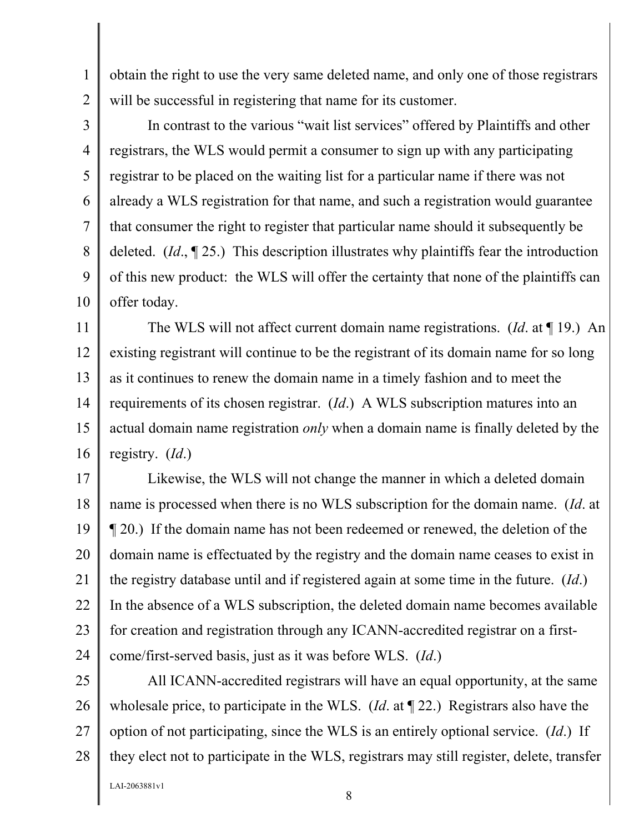obtain the right to use the very same deleted name, and only one of those registrars will be successful in registering that name for its customer.

3 4 5 6 7 8 9 10 In contrast to the various "wait list services" offered by Plaintiffs and other registrars, the WLS would permit a consumer to sign up with any participating registrar to be placed on the waiting list for a particular name if there was not already a WLS registration for that name, and such a registration would guarantee that consumer the right to register that particular name should it subsequently be deleted. (*Id*., ¶ 25.) This description illustrates why plaintiffs fear the introduction of this new product: the WLS will offer the certainty that none of the plaintiffs can offer today.

11 12 13 14 15 16 The WLS will not affect current domain name registrations. (*Id*. at ¶ 19.) An existing registrant will continue to be the registrant of its domain name for so long as it continues to renew the domain name in a timely fashion and to meet the requirements of its chosen registrar. (*Id*.) A WLS subscription matures into an actual domain name registration *only* when a domain name is finally deleted by the registry. (*Id*.)

17 18 19 20 21 22 23 24 Likewise, the WLS will not change the manner in which a deleted domain name is processed when there is no WLS subscription for the domain name. (*Id*. at ¶ 20.) If the domain name has not been redeemed or renewed, the deletion of the domain name is effectuated by the registry and the domain name ceases to exist in the registry database until and if registered again at some time in the future. (*Id*.) In the absence of a WLS subscription, the deleted domain name becomes available for creation and registration through any ICANN-accredited registrar on a firstcome/first-served basis, just as it was before WLS. (*Id*.)

25 26 27 28 All ICANN-accredited registrars will have an equal opportunity, at the same wholesale price, to participate in the WLS. (*Id*. at ¶ 22.) Registrars also have the option of not participating, since the WLS is an entirely optional service. (*Id*.) If they elect not to participate in the WLS, registrars may still register, delete, transfer

LAI-2063881v1

1

2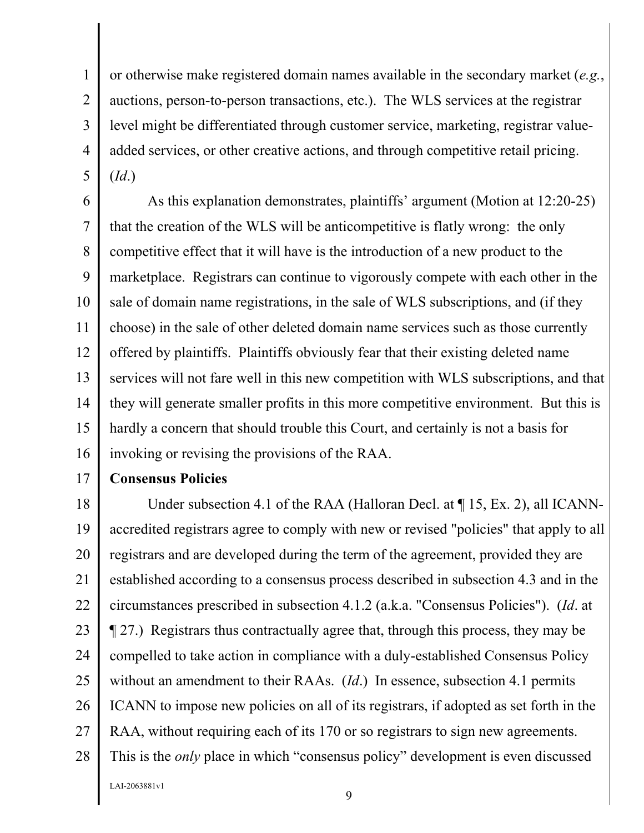3 or otherwise make registered domain names available in the secondary market (*e.g.*, auctions, person-to-person transactions, etc.). The WLS services at the registrar level might be differentiated through customer service, marketing, registrar valueadded services, or other creative actions, and through competitive retail pricing. (*Id*.)

6 7 8 9 10 11 12 13 14 15 16 As this explanation demonstrates, plaintiffs' argument (Motion at 12:20-25) that the creation of the WLS will be anticompetitive is flatly wrong: the only competitive effect that it will have is the introduction of a new product to the marketplace. Registrars can continue to vigorously compete with each other in the sale of domain name registrations, in the sale of WLS subscriptions, and (if they choose) in the sale of other deleted domain name services such as those currently offered by plaintiffs. Plaintiffs obviously fear that their existing deleted name services will not fare well in this new competition with WLS subscriptions, and that they will generate smaller profits in this more competitive environment. But this is hardly a concern that should trouble this Court, and certainly is not a basis for invoking or revising the provisions of the RAA.

17

1

2

4

5

### **Consensus Policies**

18 19 20 21 22 23 24 25 26 27 28 Under subsection 4.1 of the RAA (Halloran Decl. at  $\P$  15, Ex. 2), all ICANNaccredited registrars agree to comply with new or revised "policies" that apply to all registrars and are developed during the term of the agreement, provided they are established according to a consensus process described in subsection 4.3 and in the circumstances prescribed in subsection 4.1.2 (a.k.a. "Consensus Policies"). (*Id*. at ¶ 27.) Registrars thus contractually agree that, through this process, they may be compelled to take action in compliance with a duly-established Consensus Policy without an amendment to their RAAs. (*Id*.) In essence, subsection 4.1 permits ICANN to impose new policies on all of its registrars, if adopted as set forth in the RAA, without requiring each of its 170 or so registrars to sign new agreements. This is the *only* place in which "consensus policy" development is even discussed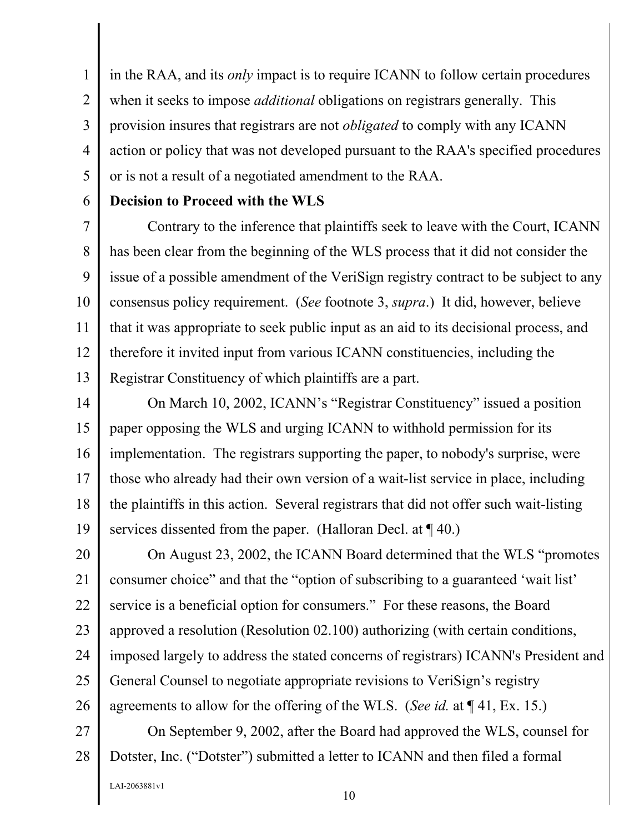1 2 3 4 5 in the RAA, and its *only* impact is to require ICANN to follow certain procedures when it seeks to impose *additional* obligations on registrars generally. This provision insures that registrars are not *obligated* to comply with any ICANN action or policy that was not developed pursuant to the RAA's specified procedures or is not a result of a negotiated amendment to the RAA.

### **Decision to Proceed with the WLS**

6

7 8 9 10 11 12 13 Contrary to the inference that plaintiffs seek to leave with the Court, ICANN has been clear from the beginning of the WLS process that it did not consider the issue of a possible amendment of the VeriSign registry contract to be subject to any consensus policy requirement. (*See* footnote 3, *supra*.) It did, however, believe that it was appropriate to seek public input as an aid to its decisional process, and therefore it invited input from various ICANN constituencies, including the Registrar Constituency of which plaintiffs are a part.

14 15 16 17 18 19 On March 10, 2002, ICANN's "Registrar Constituency" issued a position paper opposing the WLS and urging ICANN to withhold permission for its implementation. The registrars supporting the paper, to nobody's surprise, were those who already had their own version of a wait-list service in place, including the plaintiffs in this action. Several registrars that did not offer such wait-listing services dissented from the paper. (Halloran Decl. at  $\P$  40.)

20 21 22 23 24 25 26 On August 23, 2002, the ICANN Board determined that the WLS "promotes consumer choice" and that the "option of subscribing to a guaranteed 'wait list' service is a beneficial option for consumers." For these reasons, the Board approved a resolution (Resolution 02.100) authorizing (with certain conditions, imposed largely to address the stated concerns of registrars) ICANN's President and General Counsel to negotiate appropriate revisions to VeriSign's registry agreements to allow for the offering of the WLS. (*See id.* at ¶ 41, Ex. 15.)

27 28 On September 9, 2002, after the Board had approved the WLS, counsel for Dotster, Inc. ("Dotster") submitted a letter to ICANN and then filed a formal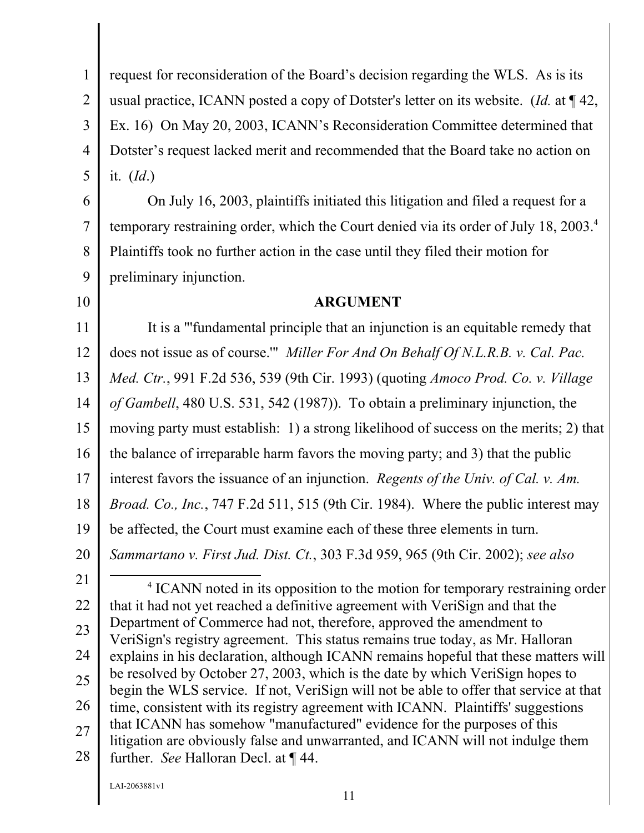1 2 3 4 5 request for reconsideration of the Board's decision regarding the WLS. As is its usual practice, ICANN posted a copy of Dotster's letter on its website. (*Id.* at ¶ 42, Ex. 16) On May 20, 2003, ICANN's Reconsideration Committee determined that Dotster's request lacked merit and recommended that the Board take no action on it. (*Id*.)

6 7 8 9 On July 16, 2003, plaintiffs initiated this litigation and filed a request for a temporary restraining order, which the Court denied via its order of July 18, 2003.<sup>4</sup> Plaintiffs took no further action in the case until they filed their motion for preliminary injunction.

10

### **ARGUMENT**

11 12 13 14 15 16 17 18 19 20 21 22 23 24 It is a "'fundamental principle that an injunction is an equitable remedy that does not issue as of course.'" *Miller For And On Behalf Of N.L.R.B. v. Cal. Pac. Med. Ctr.*, 991 F.2d 536, 539 (9th Cir. 1993) (quoting *Amoco Prod. Co. v. Village of Gambell*, 480 U.S. 531, 542 (1987)). To obtain a preliminary injunction, the moving party must establish: 1) a strong likelihood of success on the merits; 2) that the balance of irreparable harm favors the moving party; and 3) that the public interest favors the issuance of an injunction. *Regents of the Univ. of Cal. v. Am. Broad. Co., Inc.*, 747 F.2d 511, 515 (9th Cir. 1984). Where the public interest may be affected, the Court must examine each of these three elements in turn. *Sammartano v. First Jud. Dist. Ct.*, 303 F.3d 959, 965 (9th Cir. 2002); *see also*   $\overline{4}$ <sup>4</sup> ICANN noted in its opposition to the motion for temporary restraining order that it had not yet reached a definitive agreement with VeriSign and that the Department of Commerce had not, therefore, approved the amendment to VeriSign's registry agreement. This status remains true today, as Mr. Halloran explains in his declaration, although ICANN remains hopeful that these matters will be resolved by October 27, 2003, which is the date by which VeriSign hopes to

25 26 27 28 begin the WLS service. If not, VeriSign will not be able to offer that service at that time, consistent with its registry agreement with ICANN. Plaintiffs' suggestions that ICANN has somehow "manufactured" evidence for the purposes of this litigation are obviously false and unwarranted, and ICANN will not indulge them further. *See* Halloran Decl. at ¶ 44.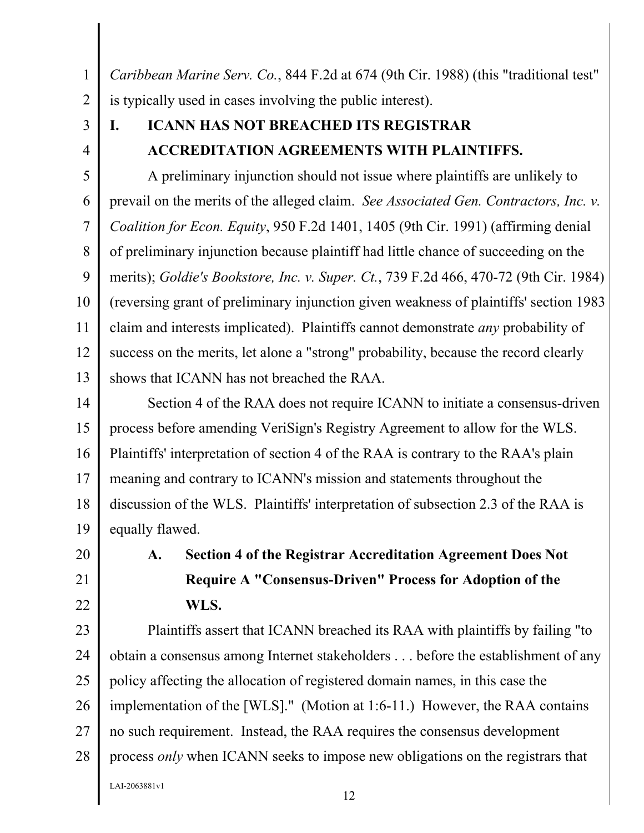1 2 *Caribbean Marine Serv. Co.*, 844 F.2d at 674 (9th Cir. 1988) (this "traditional test" is typically used in cases involving the public interest).

3

4

### **I. ICANN HAS NOT BREACHED ITS REGISTRAR ACCREDITATION AGREEMENTS WITH PLAINTIFFS.**

5 6 7 8 9 10 11 12 13 A preliminary injunction should not issue where plaintiffs are unlikely to prevail on the merits of the alleged claim. *See Associated Gen. Contractors, Inc. v. Coalition for Econ. Equity*, 950 F.2d 1401, 1405 (9th Cir. 1991) (affirming denial of preliminary injunction because plaintiff had little chance of succeeding on the merits); *Goldie's Bookstore, Inc. v. Super. Ct.*, 739 F.2d 466, 470-72 (9th Cir. 1984) (reversing grant of preliminary injunction given weakness of plaintiffs' section 1983 claim and interests implicated). Plaintiffs cannot demonstrate *any* probability of success on the merits, let alone a "strong" probability, because the record clearly shows that ICANN has not breached the RAA.

14 15 16 17 18 19 Section 4 of the RAA does not require ICANN to initiate a consensus-driven process before amending VeriSign's Registry Agreement to allow for the WLS. Plaintiffs' interpretation of section 4 of the RAA is contrary to the RAA's plain meaning and contrary to ICANN's mission and statements throughout the discussion of the WLS. Plaintiffs' interpretation of subsection 2.3 of the RAA is equally flawed.

### 20 21

22

# **A. Section 4 of the Registrar Accreditation Agreement Does Not Require A "Consensus-Driven" Process for Adoption of the WLS.**

23 24 25 26 27 28 Plaintiffs assert that ICANN breached its RAA with plaintiffs by failing "to obtain a consensus among Internet stakeholders . . . before the establishment of any policy affecting the allocation of registered domain names, in this case the implementation of the [WLS]." (Motion at 1:6-11.) However, the RAA contains no such requirement. Instead, the RAA requires the consensus development process *only* when ICANN seeks to impose new obligations on the registrars that

LAI-2063881v1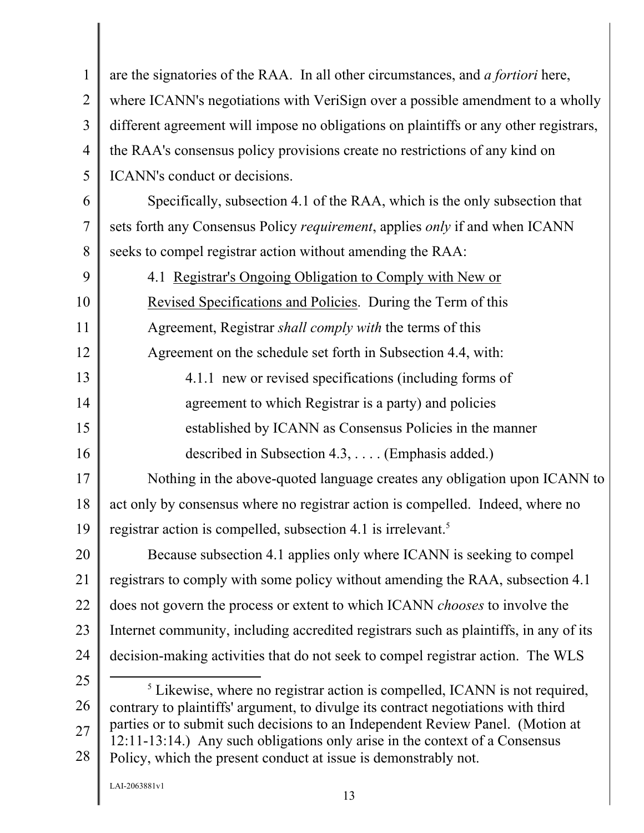1 2 3 4 5 6 7 8 9 10 11 12 13 14 15 16 17 18 19 20 21 22 23 24 25 26 27 28 are the signatories of the RAA. In all other circumstances, and *a fortiori* here, where ICANN's negotiations with VeriSign over a possible amendment to a wholly different agreement will impose no obligations on plaintiffs or any other registrars, the RAA's consensus policy provisions create no restrictions of any kind on ICANN's conduct or decisions. Specifically, subsection 4.1 of the RAA, which is the only subsection that sets forth any Consensus Policy *requirement*, applies *only* if and when ICANN seeks to compel registrar action without amending the RAA: 4.1 Registrar's Ongoing Obligation to Comply with New or Revised Specifications and Policies. During the Term of this Agreement, Registrar *shall comply with* the terms of this Agreement on the schedule set forth in Subsection 4.4, with: 4.1.1 new or revised specifications (including forms of agreement to which Registrar is a party) and policies established by ICANN as Consensus Policies in the manner described in Subsection 4.3, . . . . (Emphasis added.) Nothing in the above-quoted language creates any obligation upon ICANN to act only by consensus where no registrar action is compelled. Indeed, where no registrar action is compelled, subsection 4.1 is irrelevant.<sup>5</sup> Because subsection 4.1 applies only where ICANN is seeking to compel registrars to comply with some policy without amending the RAA, subsection 4.1 does not govern the process or extent to which ICANN *chooses* to involve the Internet community, including accredited registrars such as plaintiffs, in any of its decision-making activities that do not seek to compel registrar action. The WLS  $rac{1}{5}$ <sup>5</sup> Likewise, where no registrar action is compelled, ICANN is not required, contrary to plaintiffs' argument, to divulge its contract negotiations with third parties or to submit such decisions to an Independent Review Panel. (Motion at 12:11-13:14.) Any such obligations only arise in the context of a Consensus Policy, which the present conduct at issue is demonstrably not.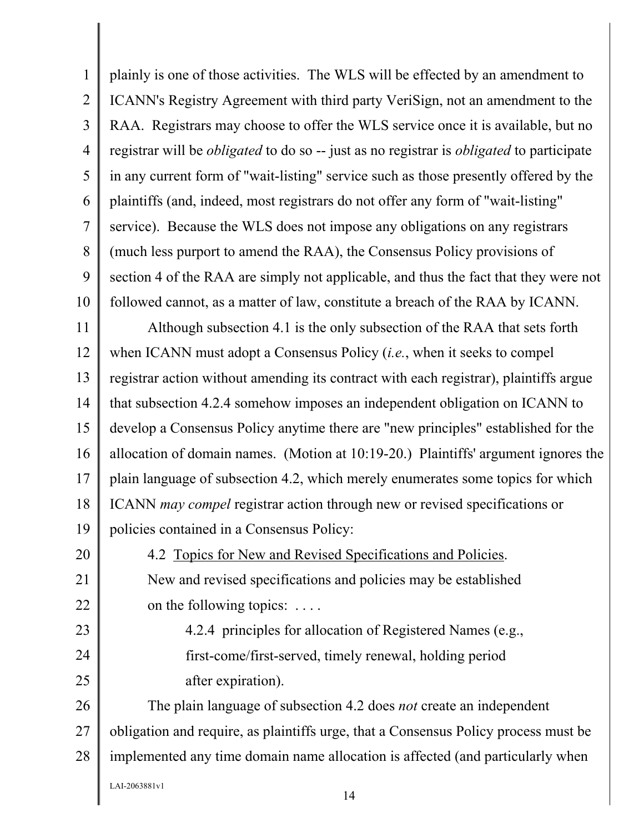1 2 3 4 5 6 7 8 9 10 plainly is one of those activities. The WLS will be effected by an amendment to ICANN's Registry Agreement with third party VeriSign, not an amendment to the RAA. Registrars may choose to offer the WLS service once it is available, but no registrar will be *obligated* to do so -- just as no registrar is *obligated* to participate in any current form of "wait-listing" service such as those presently offered by the plaintiffs (and, indeed, most registrars do not offer any form of "wait-listing" service). Because the WLS does not impose any obligations on any registrars (much less purport to amend the RAA), the Consensus Policy provisions of section 4 of the RAA are simply not applicable, and thus the fact that they were not followed cannot, as a matter of law, constitute a breach of the RAA by ICANN.

11 12 13 14 15 16 17 18 19 Although subsection 4.1 is the only subsection of the RAA that sets forth when ICANN must adopt a Consensus Policy (*i.e.*, when it seeks to compel registrar action without amending its contract with each registrar), plaintiffs argue that subsection 4.2.4 somehow imposes an independent obligation on ICANN to develop a Consensus Policy anytime there are "new principles" established for the allocation of domain names. (Motion at 10:19-20.) Plaintiffs' argument ignores the plain language of subsection 4.2, which merely enumerates some topics for which ICANN *may compel* registrar action through new or revised specifications or policies contained in a Consensus Policy:

4.2 Topics for New and Revised Specifications and Policies. New and revised specifications and policies may be established on the following topics: . . . .

4.2.4 principles for allocation of Registered Names (e.g., first-come/first-served, timely renewal, holding period after expiration).

26 27 28 The plain language of subsection 4.2 does *not* create an independent obligation and require, as plaintiffs urge, that a Consensus Policy process must be implemented any time domain name allocation is affected (and particularly when

LAI-2063881v1

20

21

22

23

24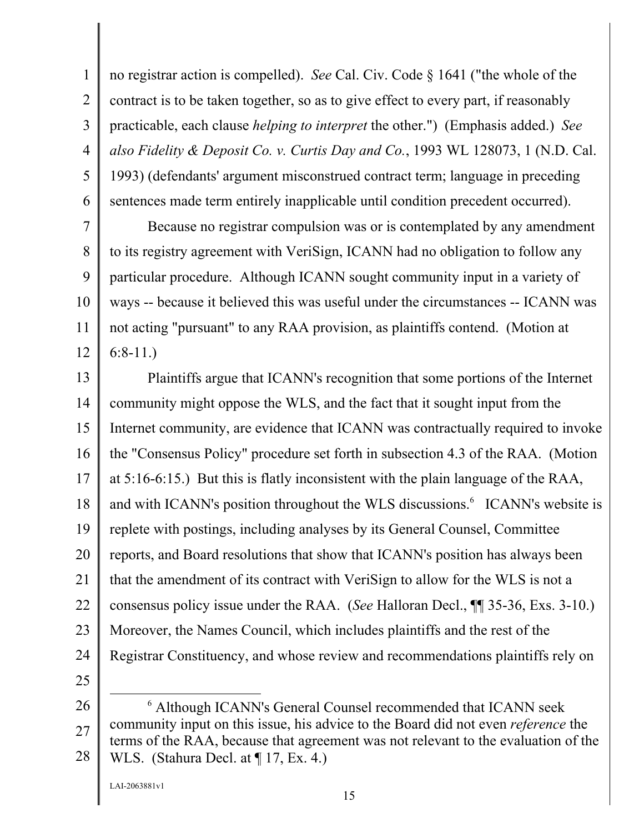1 2 3 4 5 6 no registrar action is compelled). *See* Cal. Civ. Code § 1641 ("the whole of the contract is to be taken together, so as to give effect to every part, if reasonably practicable, each clause *helping to interpret* the other.") (Emphasis added.) *See also Fidelity & Deposit Co. v. Curtis Day and Co.*, 1993 WL 128073, 1 (N.D. Cal. 1993) (defendants' argument misconstrued contract term; language in preceding sentences made term entirely inapplicable until condition precedent occurred).

7 8 9 10 11 12 Because no registrar compulsion was or is contemplated by any amendment to its registry agreement with VeriSign, ICANN had no obligation to follow any particular procedure. Although ICANN sought community input in a variety of ways -- because it believed this was useful under the circumstances -- ICANN was not acting "pursuant" to any RAA provision, as plaintiffs contend. (Motion at 6:8-11.)

13 14 15 16 17 18 19 20 21 22 23 24 Plaintiffs argue that ICANN's recognition that some portions of the Internet community might oppose the WLS, and the fact that it sought input from the Internet community, are evidence that ICANN was contractually required to invoke the "Consensus Policy" procedure set forth in subsection 4.3 of the RAA. (Motion at 5:16-6:15.) But this is flatly inconsistent with the plain language of the RAA, and with ICANN's position throughout the WLS discussions.<sup>6</sup> ICANN's website is replete with postings, including analyses by its General Counsel, Committee reports, and Board resolutions that show that ICANN's position has always been that the amendment of its contract with VeriSign to allow for the WLS is not a consensus policy issue under the RAA. (*See* Halloran Decl., ¶¶ 35-36, Exs. 3-10.) Moreover, the Names Council, which includes plaintiffs and the rest of the Registrar Constituency, and whose review and recommendations plaintiffs rely on

- 25
- 26

<sup>27</sup>  28 6 Although ICANN's General Counsel recommended that ICANN seek community input on this issue, his advice to the Board did not even *reference* the terms of the RAA, because that agreement was not relevant to the evaluation of the WLS. (Stahura Decl. at ¶ 17, Ex. 4.)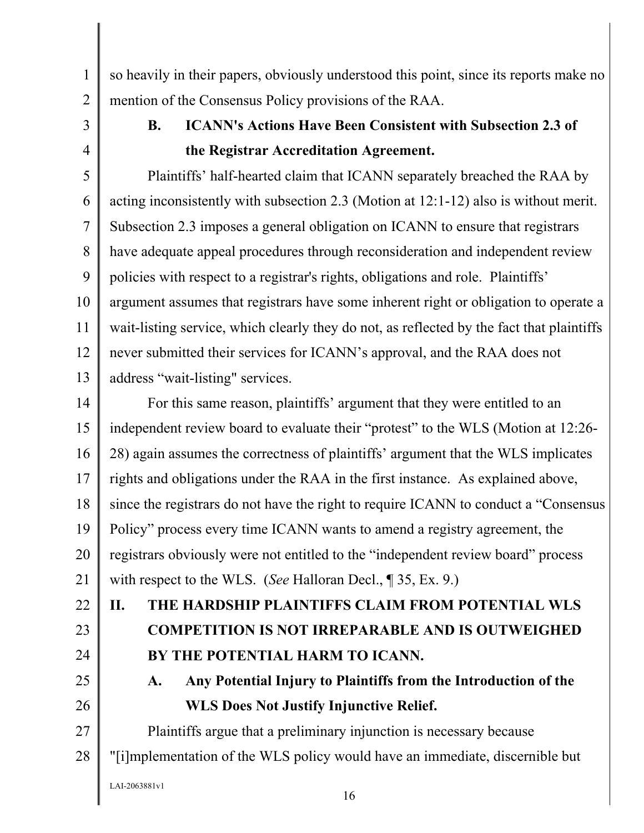so heavily in their papers, obviously understood this point, since its reports make no mention of the Consensus Policy provisions of the RAA.

3 4

1

2

## **B. ICANN's Actions Have Been Consistent with Subsection 2.3 of the Registrar Accreditation Agreement.**

5 6 7 8 9 10 11 12 13 Plaintiffs' half-hearted claim that ICANN separately breached the RAA by acting inconsistently with subsection 2.3 (Motion at 12:1-12) also is without merit. Subsection 2.3 imposes a general obligation on ICANN to ensure that registrars have adequate appeal procedures through reconsideration and independent review policies with respect to a registrar's rights, obligations and role. Plaintiffs' argument assumes that registrars have some inherent right or obligation to operate a wait-listing service, which clearly they do not, as reflected by the fact that plaintiffs never submitted their services for ICANN's approval, and the RAA does not address "wait-listing" services.

14 15 16 17 18 19 20 21 For this same reason, plaintiffs' argument that they were entitled to an independent review board to evaluate their "protest" to the WLS (Motion at 12:26- 28) again assumes the correctness of plaintiffs' argument that the WLS implicates rights and obligations under the RAA in the first instance. As explained above, since the registrars do not have the right to require ICANN to conduct a "Consensus Policy" process every time ICANN wants to amend a registry agreement, the registrars obviously were not entitled to the "independent review board" process with respect to the WLS. (*See* Halloran Decl., ¶ 35, Ex. 9.)

22 23 24 **II. THE HARDSHIP PLAINTIFFS CLAIM FROM POTENTIAL WLS COMPETITION IS NOT IRREPARABLE AND IS OUTWEIGHED BY THE POTENTIAL HARM TO ICANN.** 

> **A. Any Potential Injury to Plaintiffs from the Introduction of the WLS Does Not Justify Injunctive Relief.**

27 28 Plaintiffs argue that a preliminary injunction is necessary because "[i]mplementation of the WLS policy would have an immediate, discernible but

LAI-2063881v1

25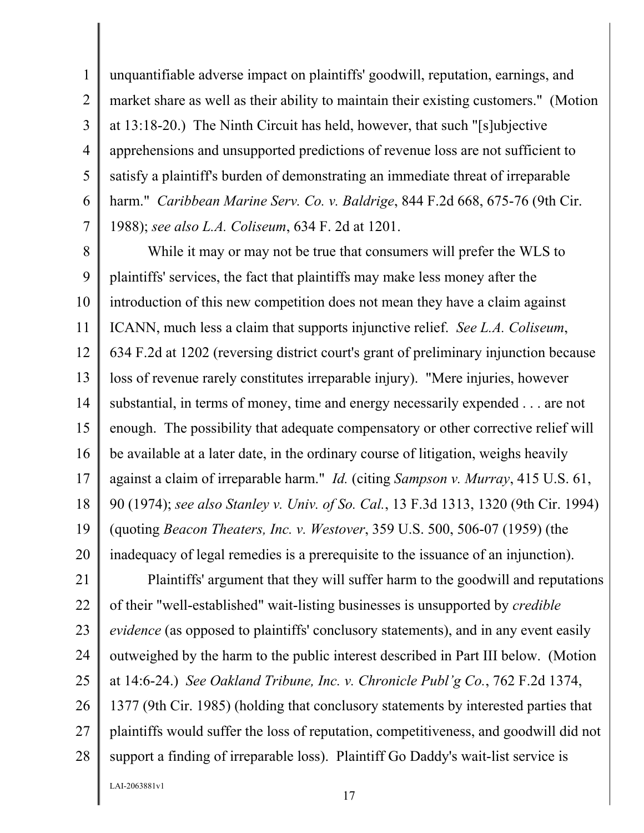unquantifiable adverse impact on plaintiffs' goodwill, reputation, earnings, and market share as well as their ability to maintain their existing customers." (Motion at 13:18-20.) The Ninth Circuit has held, however, that such "[s]ubjective apprehensions and unsupported predictions of revenue loss are not sufficient to satisfy a plaintiff's burden of demonstrating an immediate threat of irreparable harm." *Caribbean Marine Serv. Co. v. Baldrige*, 844 F.2d 668, 675-76 (9th Cir. 1988); *see also L.A. Coliseum*, 634 F. 2d at 1201.

8 9 10 11 12 13 14 15 16 17 18 19 20 While it may or may not be true that consumers will prefer the WLS to plaintiffs' services, the fact that plaintiffs may make less money after the introduction of this new competition does not mean they have a claim against ICANN, much less a claim that supports injunctive relief. *See L.A. Coliseum*, 634 F.2d at 1202 (reversing district court's grant of preliminary injunction because loss of revenue rarely constitutes irreparable injury). "Mere injuries, however substantial, in terms of money, time and energy necessarily expended . . . are not enough. The possibility that adequate compensatory or other corrective relief will be available at a later date, in the ordinary course of litigation, weighs heavily against a claim of irreparable harm." *Id.* (citing *Sampson v. Murray*, 415 U.S. 61, 90 (1974); *see also Stanley v. Univ. of So. Cal.*, 13 F.3d 1313, 1320 (9th Cir. 1994) (quoting *Beacon Theaters, Inc. v. Westover*, 359 U.S. 500, 506-07 (1959) (the inadequacy of legal remedies is a prerequisite to the issuance of an injunction).

21 22 23 24 25 26 27 28 Plaintiffs' argument that they will suffer harm to the goodwill and reputations of their "well-established" wait-listing businesses is unsupported by *credible evidence* (as opposed to plaintiffs' conclusory statements), and in any event easily outweighed by the harm to the public interest described in Part III below. (Motion at 14:6-24.) *See Oakland Tribune, Inc. v. Chronicle Publ'g Co.*, 762 F.2d 1374, 1377 (9th Cir. 1985) (holding that conclusory statements by interested parties that plaintiffs would suffer the loss of reputation, competitiveness, and goodwill did not support a finding of irreparable loss). Plaintiff Go Daddy's wait-list service is

LAI-2063881v1

1

2

3

4

5

6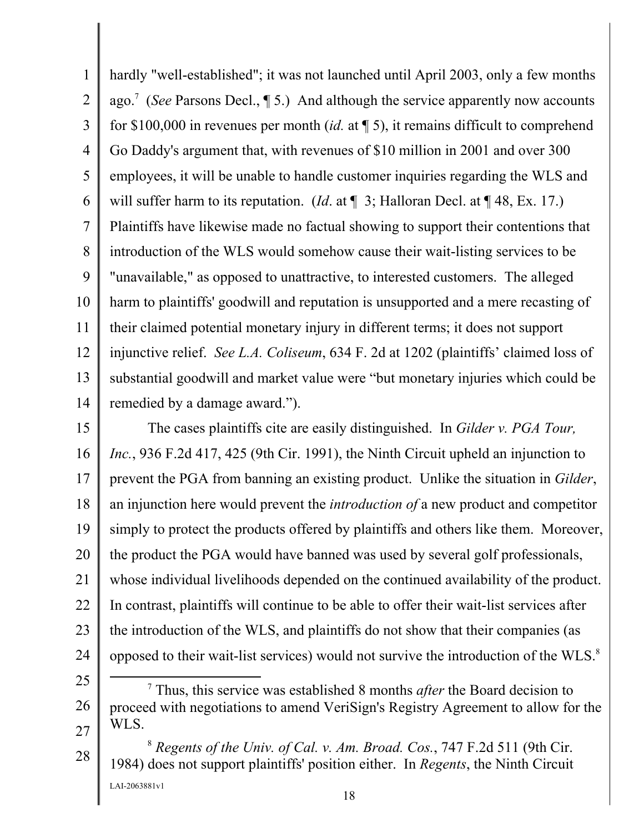1 2 3 4 5 6 7 8 9 10 11 12 13 14 hardly "well-established"; it was not launched until April 2003, only a few months ago.<sup>7</sup> (*See* Parsons Decl., 15.) And although the service apparently now accounts for \$100,000 in revenues per month (*id.* at ¶ 5), it remains difficult to comprehend Go Daddy's argument that, with revenues of \$10 million in 2001 and over 300 employees, it will be unable to handle customer inquiries regarding the WLS and will suffer harm to its reputation. (*Id.* at  $\P$  3; Halloran Decl. at  $\P$  48, Ex. 17.) Plaintiffs have likewise made no factual showing to support their contentions that introduction of the WLS would somehow cause their wait-listing services to be "unavailable," as opposed to unattractive, to interested customers. The alleged harm to plaintiffs' goodwill and reputation is unsupported and a mere recasting of their claimed potential monetary injury in different terms; it does not support injunctive relief. *See L.A. Coliseum*, 634 F. 2d at 1202 (plaintiffs' claimed loss of substantial goodwill and market value were "but monetary injuries which could be remedied by a damage award.").

15 16 17 18 19 20 21 22 23 24 The cases plaintiffs cite are easily distinguished. In *Gilder v. PGA Tour, Inc.*, 936 F.2d 417, 425 (9th Cir. 1991), the Ninth Circuit upheld an injunction to prevent the PGA from banning an existing product. Unlike the situation in *Gilder*, an injunction here would prevent the *introduction of* a new product and competitor simply to protect the products offered by plaintiffs and others like them. Moreover, the product the PGA would have banned was used by several golf professionals, whose individual livelihoods depended on the continued availability of the product. In contrast, plaintiffs will continue to be able to offer their wait-list services after the introduction of the WLS, and plaintiffs do not show that their companies (as opposed to their wait-list services) would not survive the introduction of the WLS.8

25

26

 <sup>7</sup> Thus, this service was established 8 months *after* the Board decision to proceed with negotiations to amend VeriSign's Registry Agreement to allow for the WLS.

<sup>28</sup>  LAI-2063881v1 <sup>8</sup> *Regents of the Univ. of Cal. v. Am. Broad. Cos.*, 747 F.2d 511 (9th Cir. 1984) does not support plaintiffs' position either. In *Regents*, the Ninth Circuit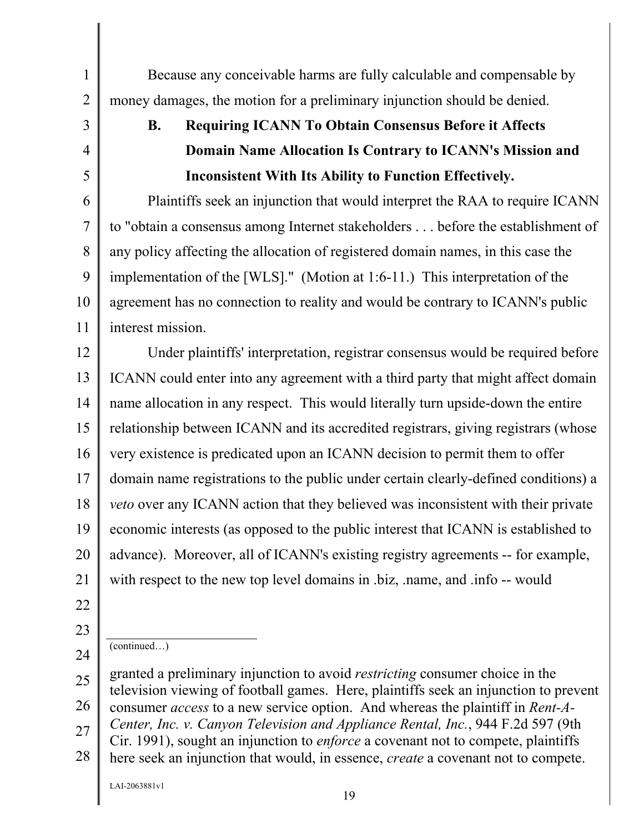2 3 4

5

11

1

# **B. Requiring ICANN To Obtain Consensus Before it Affects Domain Name Allocation Is Contrary to ICANN's Mission and Inconsistent With Its Ability to Function Effectively.**

Because any conceivable harms are fully calculable and compensable by

money damages, the motion for a preliminary injunction should be denied.

6 7 8 9 10 Plaintiffs seek an injunction that would interpret the RAA to require ICANN to "obtain a consensus among Internet stakeholders . . . before the establishment of any policy affecting the allocation of registered domain names, in this case the implementation of the [WLS]." (Motion at 1:6-11.) This interpretation of the agreement has no connection to reality and would be contrary to ICANN's public interest mission.

12 13 14 15 16 17 18 19 20 21 Under plaintiffs' interpretation, registrar consensus would be required before ICANN could enter into any agreement with a third party that might affect domain name allocation in any respect. This would literally turn upside-down the entire relationship between ICANN and its accredited registrars, giving registrars (whose very existence is predicated upon an ICANN decision to permit them to offer domain name registrations to the public under certain clearly-defined conditions) a *veto* over any ICANN action that they believed was inconsistent with their private economic interests (as opposed to the public interest that ICANN is established to advance). Moreover, all of ICANN's existing registry agreements -- for example, with respect to the new top level domains in .biz, .name, and .info -- would

- 22
- 23
- 24

(continued…)

<sup>25</sup>  26 27 28 granted a preliminary injunction to avoid *restricting* consumer choice in the television viewing of football games. Here, plaintiffs seek an injunction to prevent consumer *access* to a new service option. And whereas the plaintiff in *Rent-A-Center, Inc. v. Canyon Television and Appliance Rental, Inc.*, 944 F.2d 597 (9th Cir. 1991), sought an injunction to *enforce* a covenant not to compete, plaintiffs here seek an injunction that would, in essence, *create* a covenant not to compete.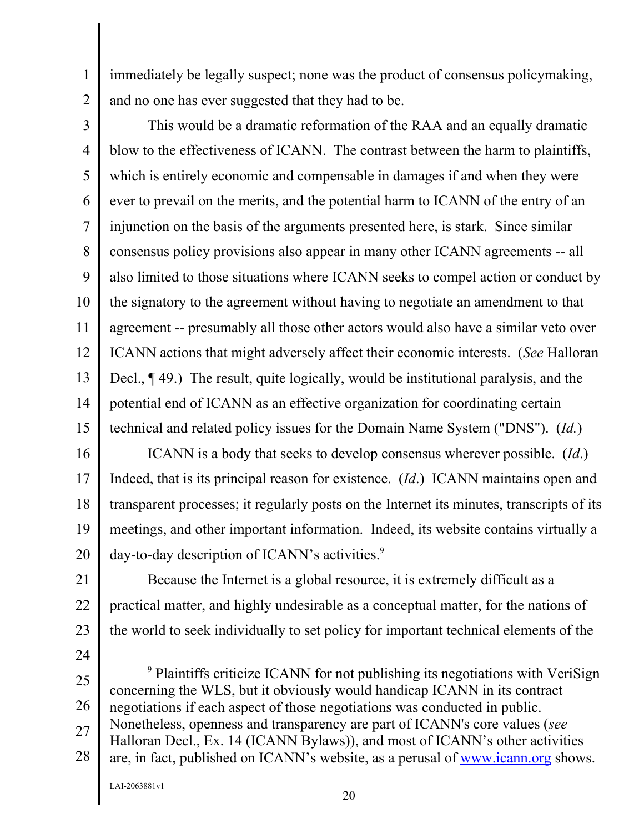immediately be legally suspect; none was the product of consensus policymaking, and no one has ever suggested that they had to be.

3

1

2

4 5 6 7 8 9 10 11 12 13 14 15 This would be a dramatic reformation of the RAA and an equally dramatic blow to the effectiveness of ICANN. The contrast between the harm to plaintiffs, which is entirely economic and compensable in damages if and when they were ever to prevail on the merits, and the potential harm to ICANN of the entry of an injunction on the basis of the arguments presented here, is stark. Since similar consensus policy provisions also appear in many other ICANN agreements -- all also limited to those situations where ICANN seeks to compel action or conduct by the signatory to the agreement without having to negotiate an amendment to that agreement -- presumably all those other actors would also have a similar veto over ICANN actions that might adversely affect their economic interests. (*See* Halloran Decl., ¶ 49.) The result, quite logically, would be institutional paralysis, and the potential end of ICANN as an effective organization for coordinating certain technical and related policy issues for the Domain Name System ("DNS"). (*Id.*)

16 17 18 19 20 ICANN is a body that seeks to develop consensus wherever possible. (*Id*.) Indeed, that is its principal reason for existence. (*Id*.) ICANN maintains open and transparent processes; it regularly posts on the Internet its minutes, transcripts of its meetings, and other important information. Indeed, its website contains virtually a day-to-day description of ICANN's activities.<sup>9</sup>

21 22 23 Because the Internet is a global resource, it is extremely difficult as a practical matter, and highly undesirable as a conceptual matter, for the nations of the world to seek individually to set policy for important technical elements of the

- 24
- 25

26 27 28 9 <sup>9</sup> Plaintiffs criticize ICANN for not publishing its negotiations with VeriSign concerning the WLS, but it obviously would handicap ICANN in its contract negotiations if each aspect of those negotiations was conducted in public. Nonetheless, openness and transparency are part of ICANN's core values (*see* Halloran Decl., Ex. 14 (ICANN Bylaws)), and most of ICANN's other activities are, in fact, published on ICANN's website, as a perusal of www.icann.org shows.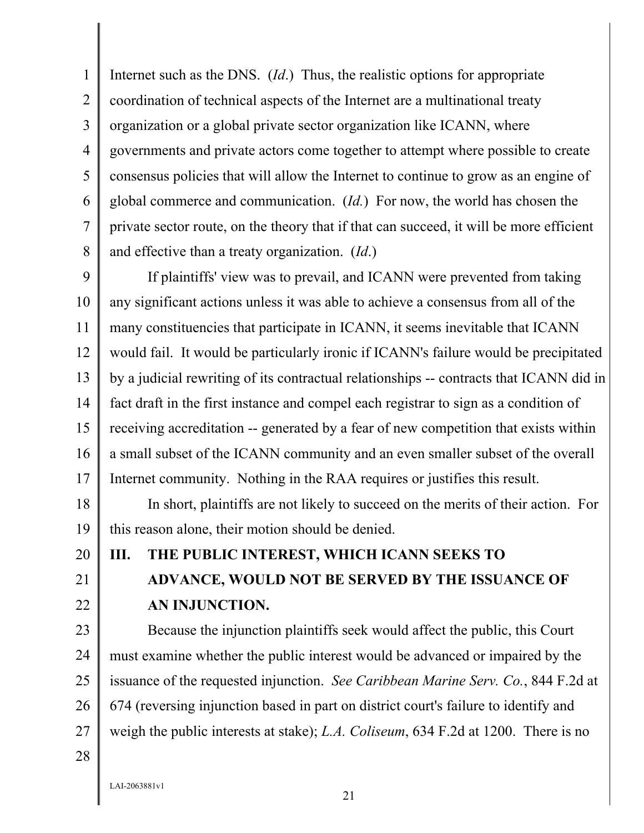1 2 3 4 5 6 7 8 Internet such as the DNS. (*Id*.) Thus, the realistic options for appropriate coordination of technical aspects of the Internet are a multinational treaty organization or a global private sector organization like ICANN, where governments and private actors come together to attempt where possible to create consensus policies that will allow the Internet to continue to grow as an engine of global commerce and communication. (*Id.*) For now, the world has chosen the private sector route, on the theory that if that can succeed, it will be more efficient and effective than a treaty organization. (*Id*.)

9 10 11 12 13 14 15 16 17 If plaintiffs' view was to prevail, and ICANN were prevented from taking any significant actions unless it was able to achieve a consensus from all of the many constituencies that participate in ICANN, it seems inevitable that ICANN would fail. It would be particularly ironic if ICANN's failure would be precipitated by a judicial rewriting of its contractual relationships -- contracts that ICANN did in fact draft in the first instance and compel each registrar to sign as a condition of receiving accreditation -- generated by a fear of new competition that exists within a small subset of the ICANN community and an even smaller subset of the overall Internet community. Nothing in the RAA requires or justifies this result.

18 19 In short, plaintiffs are not likely to succeed on the merits of their action. For this reason alone, their motion should be denied.

20 21

22

## **III. THE PUBLIC INTEREST, WHICH ICANN SEEKS TO**

# **ADVANCE, WOULD NOT BE SERVED BY THE ISSUANCE OF AN INJUNCTION.**

23 24 25 26 27 Because the injunction plaintiffs seek would affect the public, this Court must examine whether the public interest would be advanced or impaired by the issuance of the requested injunction. *See Caribbean Marine Serv. Co.*, 844 F.2d at 674 (reversing injunction based in part on district court's failure to identify and weigh the public interests at stake); *L.A. Coliseum*, 634 F.2d at 1200. There is no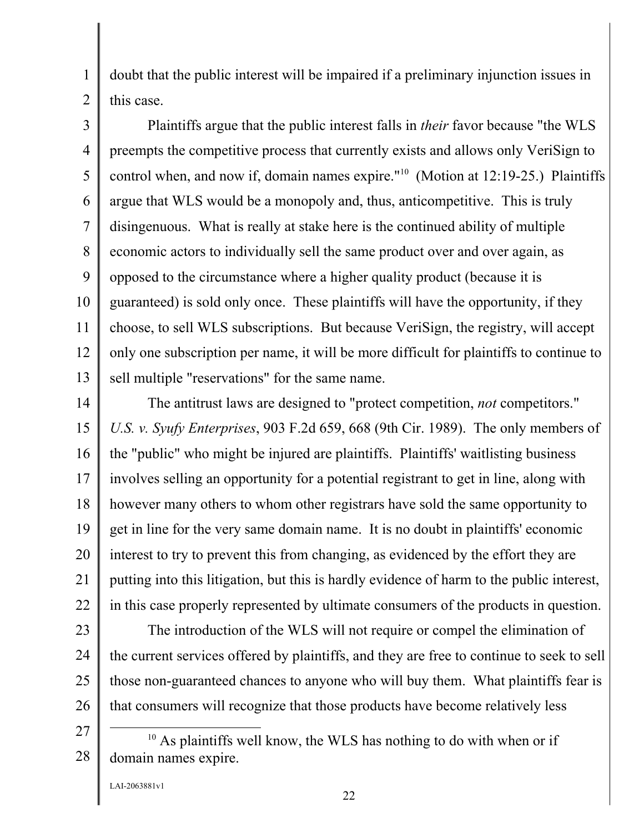doubt that the public interest will be impaired if a preliminary injunction issues in this case.

3 4 5 6 7 8 9 10 11 12 13 Plaintiffs argue that the public interest falls in *their* favor because "the WLS preempts the competitive process that currently exists and allows only VeriSign to control when, and now if, domain names expire."10 (Motion at 12:19-25.) Plaintiffs argue that WLS would be a monopoly and, thus, anticompetitive. This is truly disingenuous. What is really at stake here is the continued ability of multiple economic actors to individually sell the same product over and over again, as opposed to the circumstance where a higher quality product (because it is guaranteed) is sold only once. These plaintiffs will have the opportunity, if they choose, to sell WLS subscriptions. But because VeriSign, the registry, will accept only one subscription per name, it will be more difficult for plaintiffs to continue to sell multiple "reservations" for the same name.

14 15 16 17 18 19 20 21 22 The antitrust laws are designed to "protect competition, *not* competitors." *U.S. v. Syufy Enterprises*, 903 F.2d 659, 668 (9th Cir. 1989). The only members of the "public" who might be injured are plaintiffs. Plaintiffs' waitlisting business involves selling an opportunity for a potential registrant to get in line, along with however many others to whom other registrars have sold the same opportunity to get in line for the very same domain name. It is no doubt in plaintiffs' economic interest to try to prevent this from changing, as evidenced by the effort they are putting into this litigation, but this is hardly evidence of harm to the public interest, in this case properly represented by ultimate consumers of the products in question.

- 23 24 25 26 The introduction of the WLS will not require or compel the elimination of the current services offered by plaintiffs, and they are free to continue to seek to sell those non-guaranteed chances to anyone who will buy them. What plaintiffs fear is that consumers will recognize that those products have become relatively less
- 27 28  $10$  As plaintiffs well know, the WLS has nothing to do with when or if domain names expire.

LAI-2063881v1

1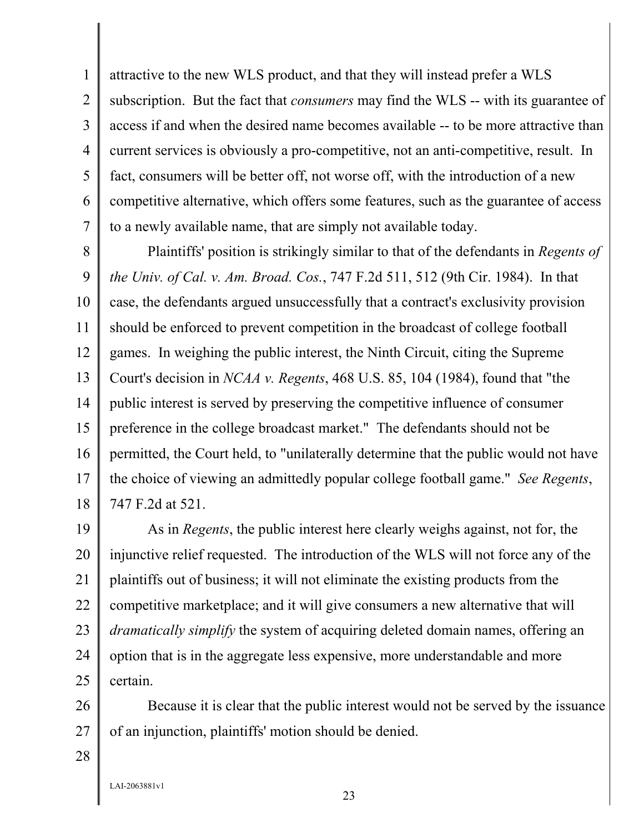1 2 3 4 5 6 7 attractive to the new WLS product, and that they will instead prefer a WLS subscription. But the fact that *consumers* may find the WLS -- with its guarantee of access if and when the desired name becomes available -- to be more attractive than current services is obviously a pro-competitive, not an anti-competitive, result. In fact, consumers will be better off, not worse off, with the introduction of a new competitive alternative, which offers some features, such as the guarantee of access to a newly available name, that are simply not available today.

8 9 10 11 12 13 14 15 16 17 18 Plaintiffs' position is strikingly similar to that of the defendants in *Regents of the Univ. of Cal. v. Am. Broad. Cos.*, 747 F.2d 511, 512 (9th Cir. 1984). In that case, the defendants argued unsuccessfully that a contract's exclusivity provision should be enforced to prevent competition in the broadcast of college football games. In weighing the public interest, the Ninth Circuit, citing the Supreme Court's decision in *NCAA v. Regents*, 468 U.S. 85, 104 (1984), found that "the public interest is served by preserving the competitive influence of consumer preference in the college broadcast market." The defendants should not be permitted, the Court held, to "unilaterally determine that the public would not have the choice of viewing an admittedly popular college football game." *See Regents*, 747 F.2d at 521.

19 20 21 22 23 24 25 As in *Regents*, the public interest here clearly weighs against, not for, the injunctive relief requested. The introduction of the WLS will not force any of the plaintiffs out of business; it will not eliminate the existing products from the competitive marketplace; and it will give consumers a new alternative that will *dramatically simplify* the system of acquiring deleted domain names, offering an option that is in the aggregate less expensive, more understandable and more certain.

26 27 Because it is clear that the public interest would not be served by the issuance of an injunction, plaintiffs' motion should be denied.

28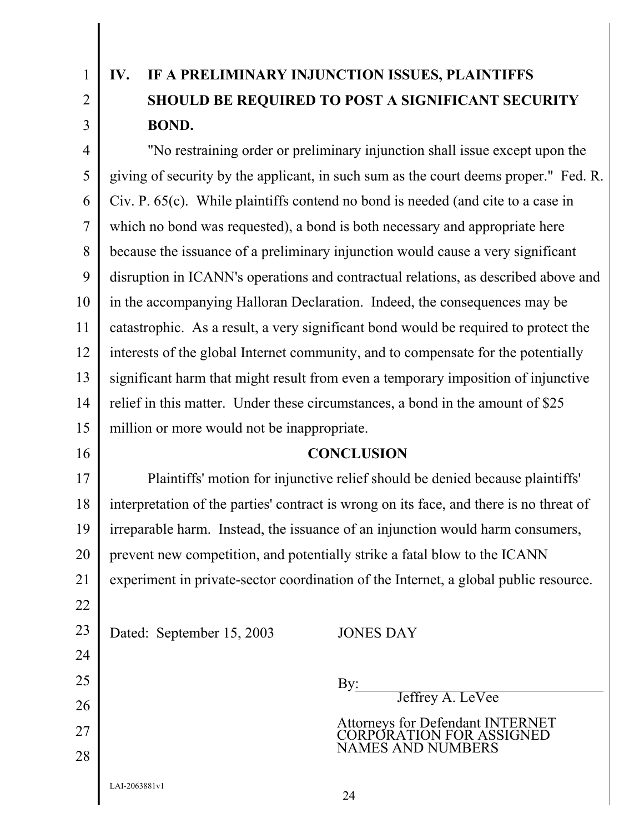1 2

3

# **IV. IF A PRELIMINARY INJUNCTION ISSUES, PLAINTIFFS SHOULD BE REQUIRED TO POST A SIGNIFICANT SECURITY BOND.**

4 5 6 7 8 9 10 11 12 13 14 15 "No restraining order or preliminary injunction shall issue except upon the giving of security by the applicant, in such sum as the court deems proper." Fed. R. Civ. P. 65(c). While plaintiffs contend no bond is needed (and cite to a case in which no bond was requested), a bond is both necessary and appropriate here because the issuance of a preliminary injunction would cause a very significant disruption in ICANN's operations and contractual relations, as described above and in the accompanying Halloran Declaration. Indeed, the consequences may be catastrophic. As a result, a very significant bond would be required to protect the interests of the global Internet community, and to compensate for the potentially significant harm that might result from even a temporary imposition of injunctive relief in this matter. Under these circumstances, a bond in the amount of \$25 million or more would not be inappropriate.

16

### **CONCLUSION**

17 18 19 20 21 Plaintiffs' motion for injunctive relief should be denied because plaintiffs' interpretation of the parties' contract is wrong on its face, and there is no threat of irreparable harm. Instead, the issuance of an injunction would harm consumers, prevent new competition, and potentially strike a fatal blow to the ICANN experiment in private-sector coordination of the Internet, a global public resource.

| 22 |                           |                                                                      |
|----|---------------------------|----------------------------------------------------------------------|
| 23 | Dated: September 15, 2003 | <b>JONES DAY</b>                                                     |
| 24 |                           |                                                                      |
| 25 |                           | By:                                                                  |
| 26 |                           | Jeffrey A. LeVee                                                     |
| 27 |                           | <b>Attorneys for Defendant INTERNET<br/>CORPORATION FOR ASSIGNED</b> |
| 28 |                           | <b>NAMES AND NUMBERS</b>                                             |
|    | LAI-2063881v1             | 24                                                                   |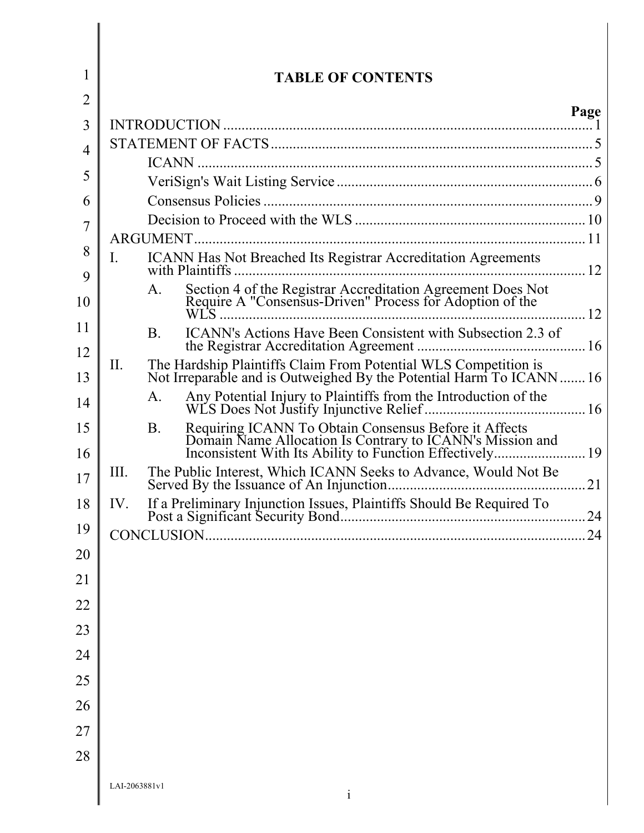| 1              | <b>TABLE OF CONTENTS</b>                                                                                                                                                                 |      |
|----------------|------------------------------------------------------------------------------------------------------------------------------------------------------------------------------------------|------|
| $\overline{2}$ |                                                                                                                                                                                          | Page |
| 3              |                                                                                                                                                                                          |      |
| 4              |                                                                                                                                                                                          |      |
| 5              |                                                                                                                                                                                          |      |
|                |                                                                                                                                                                                          |      |
| 6              |                                                                                                                                                                                          |      |
| 7              |                                                                                                                                                                                          |      |
| 8<br>9         | <b>ICANN Has Not Breached Its Registrar Accreditation Agreements</b><br>$\mathbf{I}$ .                                                                                                   |      |
| 10             | Section 4 of the Registrar Accreditation Agreement Does Not<br>Require A "Consensus-Driven" Process for Adoption of the<br>A.                                                            | 12   |
| 11<br>12       | ICANN's Actions Have Been Consistent with Subsection 2.3 of<br><b>B</b> .                                                                                                                |      |
| 13             | The Hardship Plaintiffs Claim From Potential WLS Competition is<br>Not Irreparable and is Outweighed By the Potential Harm To ICANN 16<br>II.                                            |      |
| 14             | A.                                                                                                                                                                                       |      |
| 15<br>16       | Requiring ICANN To Obtain Consensus Before it Affects<br>Domain Name Allocation Is Contrary to ICANN's Mission and<br>Inconsistent With Its Ability to Function Effectively<br><b>B.</b> | 19   |
| 17             | III.                                                                                                                                                                                     | 21   |
| 18             | IV.                                                                                                                                                                                      |      |
| 19             |                                                                                                                                                                                          | 24   |
| 20             |                                                                                                                                                                                          |      |
| 21             |                                                                                                                                                                                          |      |
| 22             |                                                                                                                                                                                          |      |
| 23             |                                                                                                                                                                                          |      |
| 24             |                                                                                                                                                                                          |      |
| 25             |                                                                                                                                                                                          |      |
| 26             |                                                                                                                                                                                          |      |
| 27             |                                                                                                                                                                                          |      |
| 28             |                                                                                                                                                                                          |      |
|                | LAI-2063881v1<br>$\mathbf{i}$                                                                                                                                                            |      |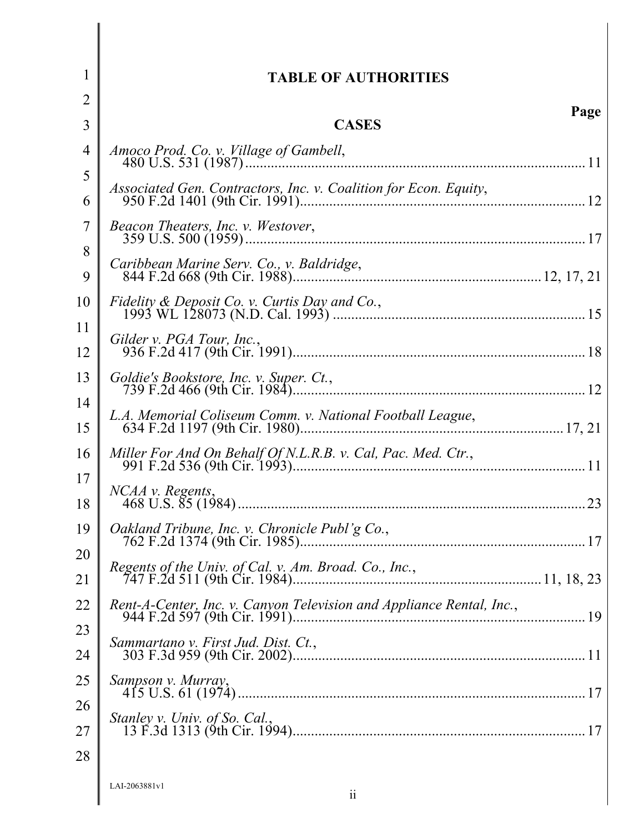| 1              | <b>TABLE OF AUTHORITIES</b>                                          |
|----------------|----------------------------------------------------------------------|
| $\overline{2}$ | Page                                                                 |
| 3              | <b>CASES</b>                                                         |
| $\overline{4}$ |                                                                      |
| 5<br>6         | Associated Gen. Contractors, Inc. v. Coalition for Econ. Equity,     |
| 7              | Beacon Theaters, Inc. v. Westover,                                   |
| 8              |                                                                      |
| 9              | Caribbean Marine Serv. Co., v. Baldridge,                            |
| 10<br>11       | Fidelity & Deposit Co. v. Curtis Day and Co.,                        |
| 12             |                                                                      |
| 13             |                                                                      |
| 14<br>15       | L.A. Memorial Coliseum Comm. v. National Football League,            |
| 16             | Miller For And On Behalf Of N.L.R.B. v. Cal, Pac. Med. Ctr.,         |
| 17<br>18       | 23                                                                   |
|                | 19 $\Box$ Oakland Tribune, Inc. v. Chronicle Publ'g Co.,             |
| 20<br>21       | Regents of the Univ. of Cal. v. Am. Broad. Co., Inc.,                |
| 22             | Rent-A-Center, Inc. v. Canyon Television and Appliance Rental, Inc., |
| 23             | Sammartano v. First Jud. Dist. Ct.,                                  |
| 24             |                                                                      |
| 25             | Sampson v. Murray,                                                   |
| 26<br>27       | Stanley v. Univ. of So. Cal.,                                        |
| 28             |                                                                      |
|                | LAL-2063881v1                                                        |

LAI-2063881v1 ii

 $\parallel$